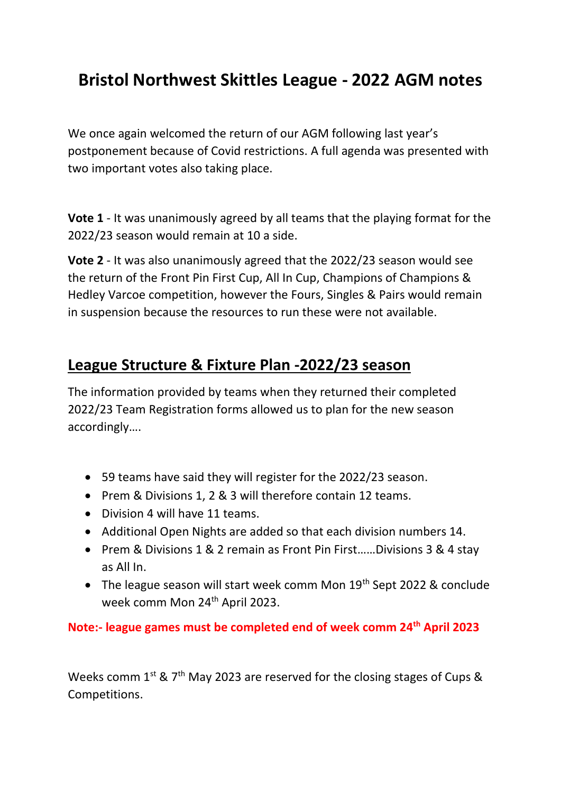## **Bristol Northwest Skittles League - 2022 AGM notes**

We once again welcomed the return of our AGM following last year's postponement because of Covid restrictions. A full agenda was presented with two important votes also taking place.

**Vote 1** - It was unanimously agreed by all teams that the playing format for the 2022/23 season would remain at 10 a side.

**Vote 2** - It was also unanimously agreed that the 2022/23 season would see the return of the Front Pin First Cup, All In Cup, Champions of Champions & Hedley Varcoe competition, however the Fours, Singles & Pairs would remain in suspension because the resources to run these were not available.

## **League Structure & Fixture Plan -2022/23 season**

The information provided by teams when they returned their completed 2022/23 Team Registration forms allowed us to plan for the new season accordingly….

- 59 teams have said they will register for the 2022/23 season.
- Prem & Divisions 1, 2 & 3 will therefore contain 12 teams.
- Division 4 will have 11 teams.
- Additional Open Nights are added so that each division numbers 14.
- Prem & Divisions 1 & 2 remain as Front Pin First……Divisions 3 & 4 stay as All In.
- The league season will start week comm Mon 19<sup>th</sup> Sept 2022 & conclude week comm Mon 24<sup>th</sup> April 2023.

## **Note:- league games must be completed end of week comm 24th April 2023**

Weeks comm  $1^{st}$  &  $7^{th}$  May 2023 are reserved for the closing stages of Cups & Competitions.